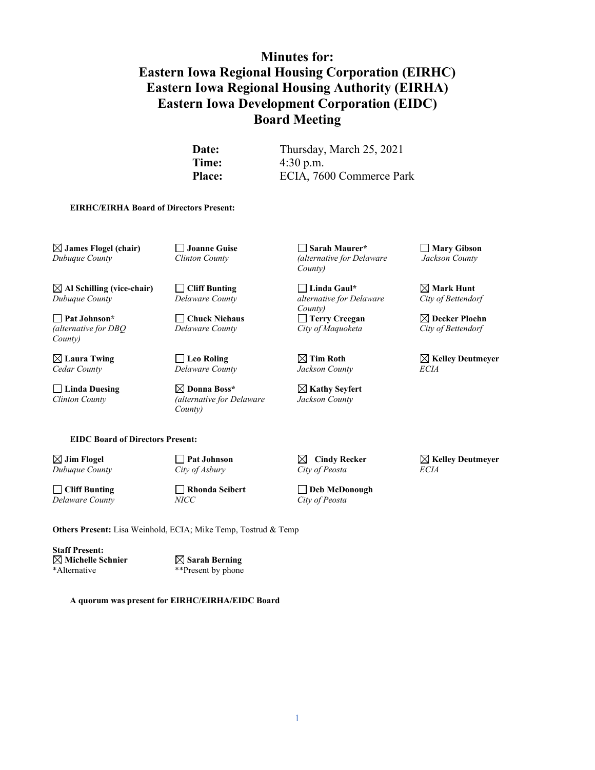# **Minutes for: Eastern Iowa Regional Housing Corporation (EIRHC) Eastern Iowa Regional Housing Authority (EIRHA) Eastern Iowa Development Corporation (EIDC) Board Meeting**

**Date:** Thursday, March 25, 2021 **Time:**  $4:30 \text{ p.m.}$ Place: ECIA, 7600 Commerce Park

#### **EIRHC/EIRHA Board of Directors Present:**

 $\Box$  **James Flogel (chair)**  $\Box$  **Joanne Guise**  $\Box$  **Sarah Maurer\***  $\Box$  **Mary Gibson** *Clinton County (alternative for Delaware Jackson County* 

 $\Box$  **Al Schilling (vice-chair)**  $\Box$  **Cliff Bunting**  $\Box$  **Linda Gaul\***  $\Box$  **Mark Hunt**  $\Box$  **Mark Hunt**  $\Box$  **Delaware County**  $\Box$  **Linda Gaul\***  $\Box$  **Mark Hunt**  $\Box$  **Mark Hunt**  $\Box$  **Delaware County**  $\Box$  **Mark**

*County)*

*Cedar County Delaware County Jackson County ECIA*

**Linda Duesing Donna Boss\* Kathy Seyfert** *Clinton County (alternative for Delaware Jackson County County)*

*Dubuque County Clinton County (alternative for Delaware Jackson County County)*

*Dubuque County Delaware County alternative for Delaware City of Bettendorf County)* **Pat Johnson\* Chuck Niehaus Terry Creegan Decker Ploehn** *(alternative for DBQ Delaware County City of Maquoketa City of Bettendorf*

**Laura Twing Leo Roling Tim Roth Kelley Deutmeyer**

**EIDC Board of Directors Present:**

*Dubuque County City of Asbury City of Peosta ECIA*

**Cliff Bunting Rhonda Seibert Deb McDonough** *Delaware County NICC City of Peosta*

**Others Present:** Lisa Weinhold, ECIA; Mike Temp, Tostrud & Temp

**Staff Present:**<br>⊠ Michelle Schnier **Michelle Schnier Sarah Berning**

\*\*Present by phone

**A quorum was present for EIRHC/EIRHA/EIDC Board**

# **Jim Flogel Pat Johnson Cindy Recker Kelley Deutmeyer**

1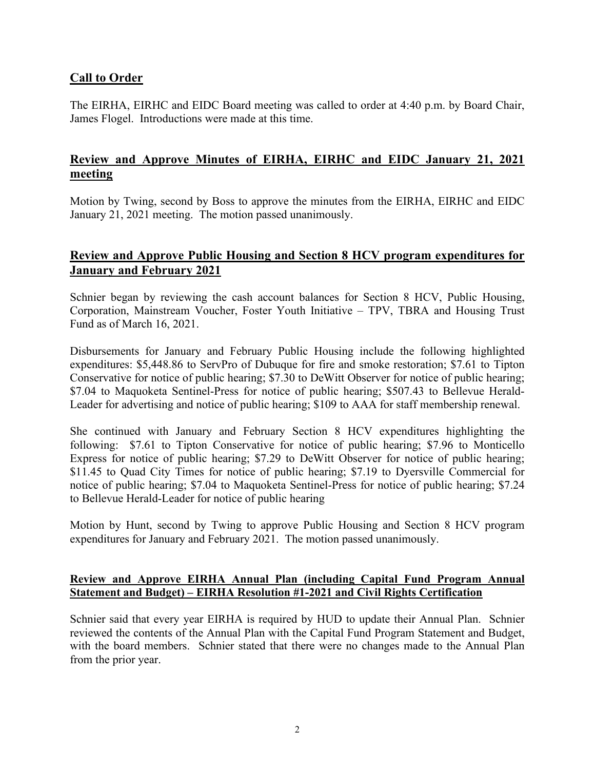# **Call to Order**

The EIRHA, EIRHC and EIDC Board meeting was called to order at 4:40 p.m. by Board Chair, James Flogel. Introductions were made at this time.

# **Review and Approve Minutes of EIRHA, EIRHC and EIDC January 21, 2021 meeting**

Motion by Twing, second by Boss to approve the minutes from the EIRHA, EIRHC and EIDC January 21, 2021 meeting. The motion passed unanimously.

# **Review and Approve Public Housing and Section 8 HCV program expenditures for January and February 2021**

Schnier began by reviewing the cash account balances for Section 8 HCV, Public Housing, Corporation, Mainstream Voucher, Foster Youth Initiative – TPV, TBRA and Housing Trust Fund as of March 16, 2021.

Disbursements for January and February Public Housing include the following highlighted expenditures: \$5,448.86 to ServPro of Dubuque for fire and smoke restoration; \$7.61 to Tipton Conservative for notice of public hearing; \$7.30 to DeWitt Observer for notice of public hearing; \$7.04 to Maquoketa Sentinel-Press for notice of public hearing; \$507.43 to Bellevue Herald-Leader for advertising and notice of public hearing; \$109 to AAA for staff membership renewal.

She continued with January and February Section 8 HCV expenditures highlighting the following: \$7.61 to Tipton Conservative for notice of public hearing; \$7.96 to Monticello Express for notice of public hearing; \$7.29 to DeWitt Observer for notice of public hearing; \$11.45 to Quad City Times for notice of public hearing; \$7.19 to Dyersville Commercial for notice of public hearing; \$7.04 to Maquoketa Sentinel-Press for notice of public hearing; \$7.24 to Bellevue Herald-Leader for notice of public hearing

Motion by Hunt, second by Twing to approve Public Housing and Section 8 HCV program expenditures for January and February 2021. The motion passed unanimously.

### **Review and Approve EIRHA Annual Plan (including Capital Fund Program Annual Statement and Budget) – EIRHA Resolution #1-2021 and Civil Rights Certification**

Schnier said that every year EIRHA is required by HUD to update their Annual Plan. Schnier reviewed the contents of the Annual Plan with the Capital Fund Program Statement and Budget, with the board members. Schnier stated that there were no changes made to the Annual Plan from the prior year.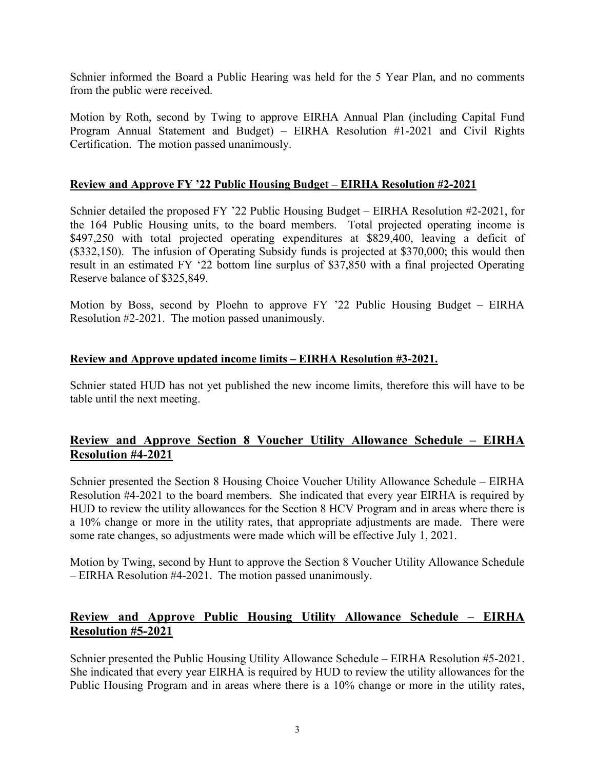Schnier informed the Board a Public Hearing was held for the 5 Year Plan, and no comments from the public were received.

Motion by Roth, second by Twing to approve EIRHA Annual Plan (including Capital Fund Program Annual Statement and Budget) – EIRHA Resolution #1-2021 and Civil Rights Certification. The motion passed unanimously.

#### **Review and Approve FY '22 Public Housing Budget – EIRHA Resolution #2-2021**

Schnier detailed the proposed FY '22 Public Housing Budget – EIRHA Resolution #2-2021, for the 164 Public Housing units, to the board members. Total projected operating income is \$497,250 with total projected operating expenditures at \$829,400, leaving a deficit of (\$332,150). The infusion of Operating Subsidy funds is projected at \$370,000; this would then result in an estimated FY '22 bottom line surplus of \$37,850 with a final projected Operating Reserve balance of \$325,849.

Motion by Boss, second by Ploehn to approve FY '22 Public Housing Budget – EIRHA Resolution #2-2021. The motion passed unanimously.

#### **Review and Approve updated income limits – EIRHA Resolution #3-2021.**

Schnier stated HUD has not yet published the new income limits, therefore this will have to be table until the next meeting.

# **Review and Approve Section 8 Voucher Utility Allowance Schedule – EIRHA Resolution #4-2021**

Schnier presented the Section 8 Housing Choice Voucher Utility Allowance Schedule – EIRHA Resolution #4-2021 to the board members. She indicated that every year EIRHA is required by HUD to review the utility allowances for the Section 8 HCV Program and in areas where there is a 10% change or more in the utility rates, that appropriate adjustments are made. There were some rate changes, so adjustments were made which will be effective July 1, 2021.

Motion by Twing, second by Hunt to approve the Section 8 Voucher Utility Allowance Schedule – EIRHA Resolution #4-2021. The motion passed unanimously.

# **Review and Approve Public Housing Utility Allowance Schedule – EIRHA Resolution #5-2021**

Schnier presented the Public Housing Utility Allowance Schedule – EIRHA Resolution #5-2021. She indicated that every year EIRHA is required by HUD to review the utility allowances for the Public Housing Program and in areas where there is a 10% change or more in the utility rates,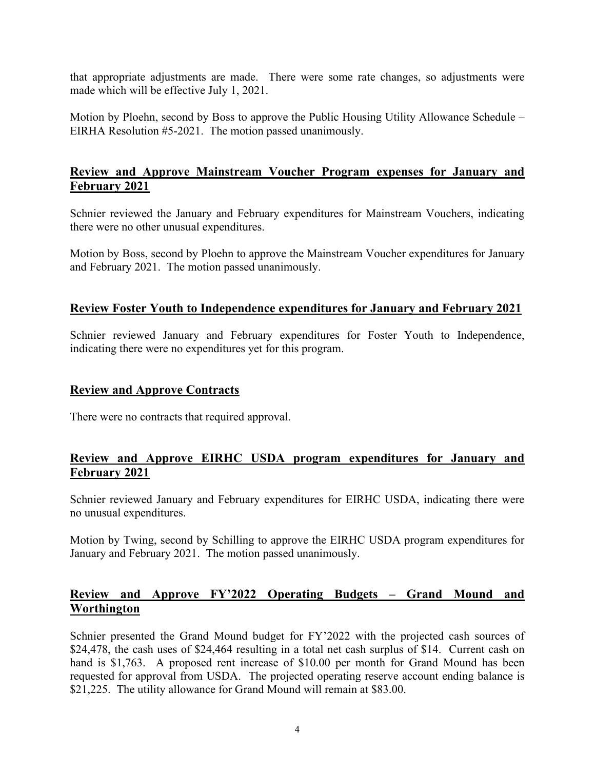that appropriate adjustments are made. There were some rate changes, so adjustments were made which will be effective July 1, 2021.

Motion by Ploehn, second by Boss to approve the Public Housing Utility Allowance Schedule – EIRHA Resolution #5-2021. The motion passed unanimously.

# **Review and Approve Mainstream Voucher Program expenses for January and February 2021**

Schnier reviewed the January and February expenditures for Mainstream Vouchers, indicating there were no other unusual expenditures.

Motion by Boss, second by Ploehn to approve the Mainstream Voucher expenditures for January and February 2021. The motion passed unanimously.

### **Review Foster Youth to Independence expenditures for January and February 2021**

Schnier reviewed January and February expenditures for Foster Youth to Independence, indicating there were no expenditures yet for this program.

#### **Review and Approve Contracts**

There were no contracts that required approval.

#### **Review and Approve EIRHC USDA program expenditures for January and February 2021**

Schnier reviewed January and February expenditures for EIRHC USDA, indicating there were no unusual expenditures.

Motion by Twing, second by Schilling to approve the EIRHC USDA program expenditures for January and February 2021. The motion passed unanimously.

# **Review and Approve FY'2022 Operating Budgets – Grand Mound and Worthington**

Schnier presented the Grand Mound budget for FY'2022 with the projected cash sources of \$24,478, the cash uses of \$24,464 resulting in a total net cash surplus of \$14. Current cash on hand is \$1,763. A proposed rent increase of \$10.00 per month for Grand Mound has been requested for approval from USDA. The projected operating reserve account ending balance is \$21,225. The utility allowance for Grand Mound will remain at \$83.00.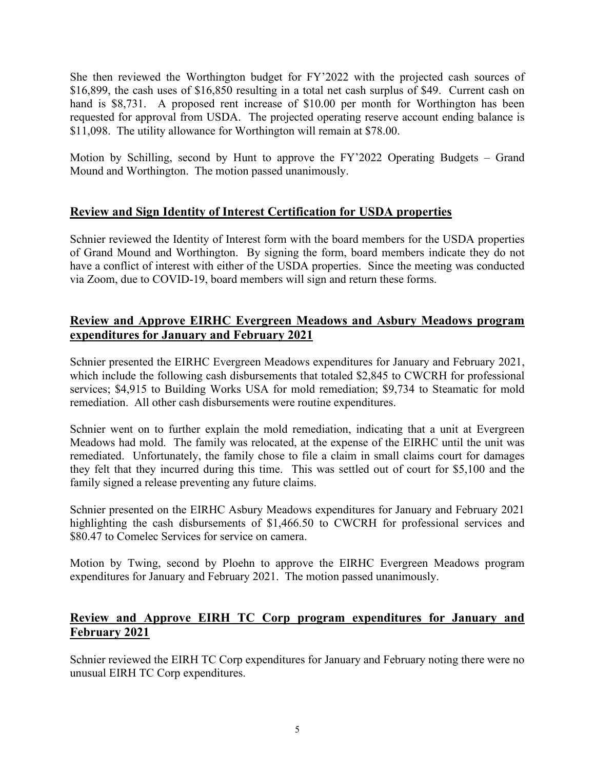She then reviewed the Worthington budget for FY'2022 with the projected cash sources of \$16,899, the cash uses of \$16,850 resulting in a total net cash surplus of \$49. Current cash on hand is \$8,731. A proposed rent increase of \$10.00 per month for Worthington has been requested for approval from USDA. The projected operating reserve account ending balance is \$11,098. The utility allowance for Worthington will remain at \$78.00.

Motion by Schilling, second by Hunt to approve the FY'2022 Operating Budgets – Grand Mound and Worthington. The motion passed unanimously.

# **Review and Sign Identity of Interest Certification for USDA properties**

Schnier reviewed the Identity of Interest form with the board members for the USDA properties of Grand Mound and Worthington. By signing the form, board members indicate they do not have a conflict of interest with either of the USDA properties. Since the meeting was conducted via Zoom, due to COVID-19, board members will sign and return these forms.

# **Review and Approve EIRHC Evergreen Meadows and Asbury Meadows program expenditures for January and February 2021**

Schnier presented the EIRHC Evergreen Meadows expenditures for January and February 2021, which include the following cash disbursements that totaled \$2,845 to CWCRH for professional services; \$4,915 to Building Works USA for mold remediation; \$9,734 to Steamatic for mold remediation. All other cash disbursements were routine expenditures.

Schnier went on to further explain the mold remediation, indicating that a unit at Evergreen Meadows had mold. The family was relocated, at the expense of the EIRHC until the unit was remediated. Unfortunately, the family chose to file a claim in small claims court for damages they felt that they incurred during this time. This was settled out of court for \$5,100 and the family signed a release preventing any future claims.

Schnier presented on the EIRHC Asbury Meadows expenditures for January and February 2021 highlighting the cash disbursements of \$1,466.50 to CWCRH for professional services and \$80.47 to Comelec Services for service on camera.

Motion by Twing, second by Ploehn to approve the EIRHC Evergreen Meadows program expenditures for January and February 2021. The motion passed unanimously.

# **Review and Approve EIRH TC Corp program expenditures for January and February 2021**

Schnier reviewed the EIRH TC Corp expenditures for January and February noting there were no unusual EIRH TC Corp expenditures.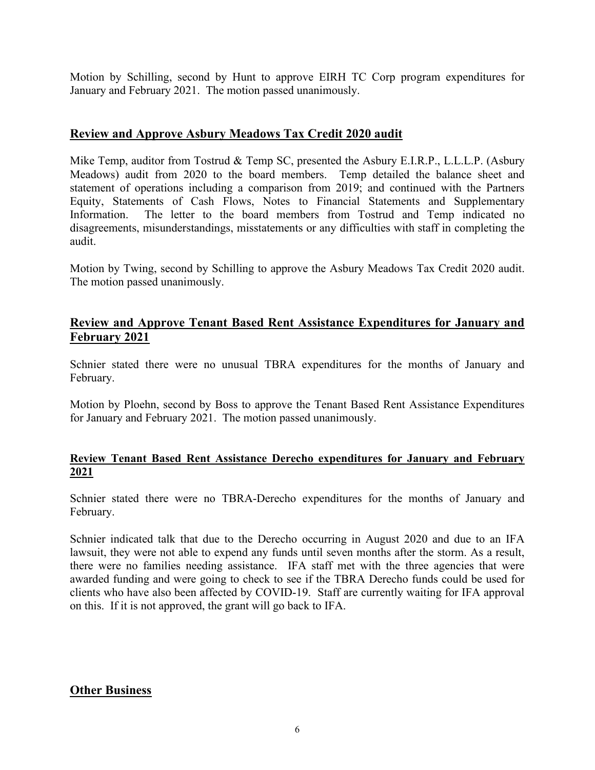Motion by Schilling, second by Hunt to approve EIRH TC Corp program expenditures for January and February 2021. The motion passed unanimously.

#### **Review and Approve Asbury Meadows Tax Credit 2020 audit**

Mike Temp, auditor from Tostrud & Temp SC, presented the Asbury E.I.R.P., L.L.L.P. (Asbury Meadows) audit from 2020 to the board members. Temp detailed the balance sheet and statement of operations including a comparison from 2019; and continued with the Partners Equity, Statements of Cash Flows, Notes to Financial Statements and Supplementary Information. The letter to the board members from Tostrud and Temp indicated no disagreements, misunderstandings, misstatements or any difficulties with staff in completing the audit.

Motion by Twing, second by Schilling to approve the Asbury Meadows Tax Credit 2020 audit. The motion passed unanimously.

# **Review and Approve Tenant Based Rent Assistance Expenditures for January and February 2021**

Schnier stated there were no unusual TBRA expenditures for the months of January and February.

Motion by Ploehn, second by Boss to approve the Tenant Based Rent Assistance Expenditures for January and February 2021. The motion passed unanimously.

#### **Review Tenant Based Rent Assistance Derecho expenditures for January and February 2021**

Schnier stated there were no TBRA-Derecho expenditures for the months of January and February.

Schnier indicated talk that due to the Derecho occurring in August 2020 and due to an IFA lawsuit, they were not able to expend any funds until seven months after the storm. As a result, there were no families needing assistance. IFA staff met with the three agencies that were awarded funding and were going to check to see if the TBRA Derecho funds could be used for clients who have also been affected by COVID-19. Staff are currently waiting for IFA approval on this. If it is not approved, the grant will go back to IFA.

### **Other Business**